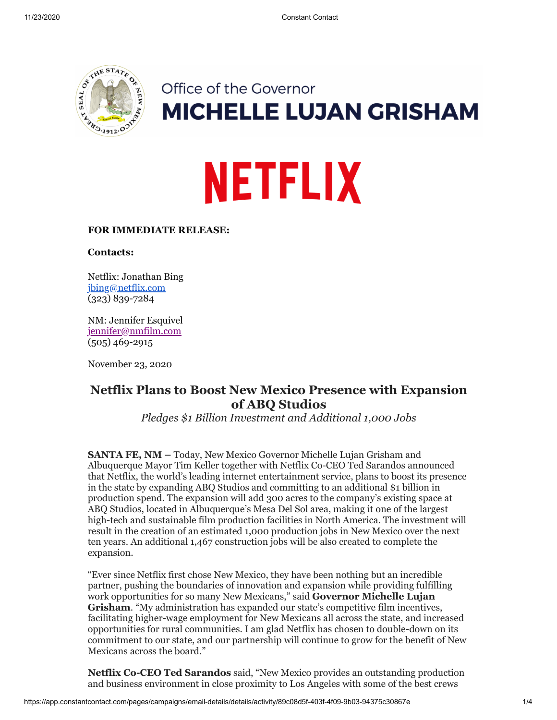

# Office of the Governor **MICHELLE LUJAN GRISHAM**

# **NETFLIX**

# **FOR IMMEDIATE RELEASE:**

**Contacts:**

Netflix: Jonathan Bing [jbing@netflix.com](mailto:jbing@netflix.com) (323) 839-7284

NM: Jennifer Esquivel [jennifer@nmfilm.com](mailto:jennifer@nmfilm.com) (505) 469-2915

November 23, 2020

# **Netflix Plans to Boost New Mexico Presence with Expansion of ABQ Studios**

*Pledges \$1 Billion Investment and Additional 1,000 Jobs*

**SANTA FE, NM –** Today, New Mexico Governor Michelle Lujan Grisham and Albuquerque Mayor Tim Keller together with Netflix Co-CEO Ted Sarandos announced that Netflix, the world's leading internet entertainment service, plans to boost its presence in the state by expanding ABQ Studios and committing to an additional \$1 billion in production spend. The expansion will add 300 acres to the company's existing space at ABQ Studios, located in Albuquerque's Mesa Del Sol area, making it one of the largest high-tech and sustainable film production facilities in North America. The investment will result in the creation of an estimated 1,000 production jobs in New Mexico over the next ten years. An additional 1,467 construction jobs will be also created to complete the expansion.

"Ever since Netflix first chose New Mexico, they have been nothing but an incredible partner, pushing the boundaries of innovation and expansion while providing fulfilling work opportunities for so many New Mexicans," said **Governor Michelle Lujan Grisham**. "My administration has expanded our state's competitive film incentives, facilitating higher-wage employment for New Mexicans all across the state, and increased opportunities for rural communities. I am glad Netflix has chosen to double-down on its commitment to our state, and our partnership will continue to grow for the benefit of New Mexicans across the board."

**Netflix Co-CEO Ted Sarandos** said, "New Mexico provides an outstanding production and business environment in close proximity to Los Angeles with some of the best crews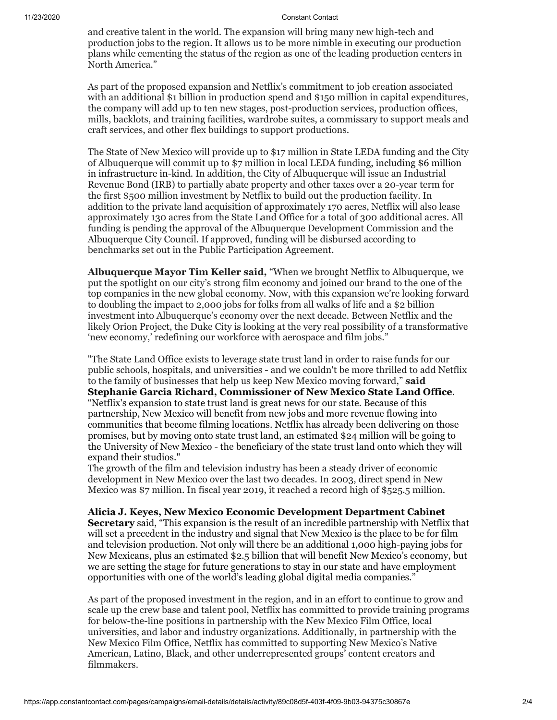#### 11/23/2020 Constant Contact

and creative talent in the world. The expansion will bring many new high-tech and production jobs to the region. It allows us to be more nimble in executing our production plans while cementing the status of the region as one of the leading production centers in North America."

As part of the proposed expansion and Netflix's commitment to job creation associated with an additional \$1 billion in production spend and \$150 million in capital expenditures, the company will add up to ten new stages, post-production services, production offices, mills, backlots, and training facilities, wardrobe suites, a commissary to support meals and craft services, and other flex buildings to support productions.

The State of New Mexico will provide up to \$17 million in State LEDA funding and the City of Albuquerque will commit up to \$7 million in local LEDA funding, including \$6 million in infrastructure in-kind. In addition, the City of Albuquerque will issue an Industrial Revenue Bond (IRB) to partially abate property and other taxes over a 20-year term for the first \$500 million investment by Netflix to build out the production facility. In addition to the private land acquisition of approximately 170 acres, Netflix will also lease approximately 130 acres from the State Land Office for a total of 300 additional acres. All funding is pending the approval of the Albuquerque Development Commission and the Albuquerque City Council. If approved, funding will be disbursed according to benchmarks set out in the Public Participation Agreement.

**Albuquerque Mayor Tim Keller said,** "When we brought Netflix to Albuquerque, we put the spotlight on our city's strong film economy and joined our brand to the one of the top companies in the new global economy. Now, with this expansion we're looking forward to doubling the impact to 2,000 jobs for folks from all walks of life and a \$2 billion investment into Albuquerque's economy over the next decade. Between Netflix and the likely Orion Project, the Duke City is looking at the very real possibility of a transformative 'new economy,' redefining our workforce with aerospace and film jobs."

"The State Land Office exists to leverage state trust land in order to raise funds for our public schools, hospitals, and universities - and we couldn't be more thrilled to add Netflix to the family of businesses that help us keep New Mexico moving forward," **said Stephanie Garcia Richard, Commissioner of New Mexico State Land Office**. "Netflix's expansion to state trust land is great news for our state. Because of this partnership, New Mexico will benefit from new jobs and more revenue flowing into communities that become filming locations. Netflix has already been delivering on those promises, but by moving onto state trust land, an estimated \$24 million will be going to the University of New Mexico - the beneficiary of the state trust land onto which they will expand their studios."

The growth of the film and television industry has been a steady driver of economic development in New Mexico over the last two decades. In 2003, direct spend in New Mexico was \$7 million. In fiscal year 2019, it reached a record high of \$525.5 million.

**Alicia J. Keyes, New Mexico Economic Development Department Cabinet Secretary** said, "This expansion is the result of an incredible partnership with Netflix that will set a precedent in the industry and signal that New Mexico is the place to be for film and television production. Not only will there be an additional 1,000 high-paying jobs for New Mexicans, plus an estimated \$2.5 billion that will benefit New Mexico's economy, but we are setting the stage for future generations to stay in our state and have employment opportunities with one of the world's leading global digital media companies."

As part of the proposed investment in the region, and in an effort to continue to grow and scale up the crew base and talent pool, Netflix has committed to provide training programs for below-the-line positions in partnership with the New Mexico Film Office, local universities, and labor and industry organizations. Additionally, in partnership with the New Mexico Film Office, Netflix has committed to supporting New Mexico's Native American, Latino, Black, and other underrepresented groups' content creators and filmmakers.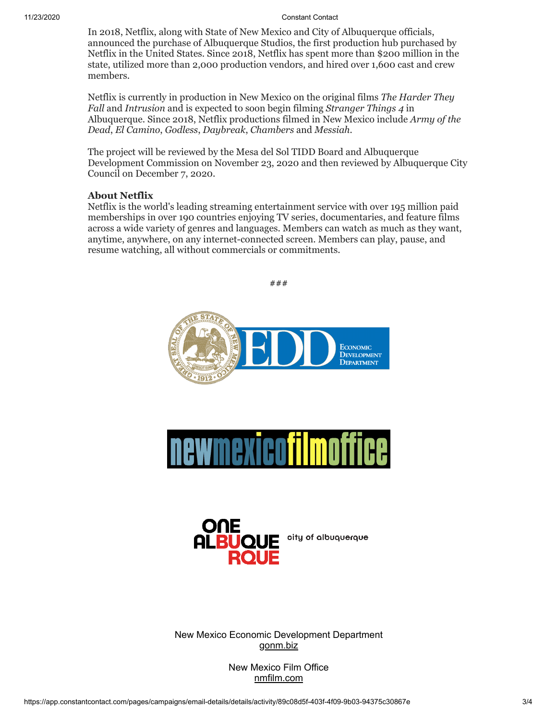### 11/23/2020 Constant Contact

In 2018, Netflix, along with State of New Mexico and City of Albuquerque officials, announced the purchase of Albuquerque Studios, the first production hub purchased by Netflix in the United States. Since 2018, Netflix has spent more than \$200 million in the state, utilized more than 2,000 production vendors, and hired over 1,600 cast and crew members.

Netflix is currently in production in New Mexico on the original films *The Harder They Fall* and *Intrusion* and is expected to soon begin filming *Stranger Things 4* in Albuquerque. Since 2018, Netflix productions filmed in New Mexico include *Army of the Dead*, *El Camino*, *Godless*, *Daybreak*, *Chambers* and *Messiah.*

The project will be reviewed by the Mesa del Sol TIDD Board and Albuquerque Development Commission on November 23, 2020 and then reviewed by Albuquerque City Council on December 7, 2020.

## **About Netflix**

Netflix is the world's leading streaming entertainment service with over 195 million paid memberships in over 190 countries enjoying TV series, documentaries, and feature films across a wide variety of genres and languages. Members can watch as much as they want, anytime, anywhere, on any internet-connected screen. Members can play, pause, and resume watching, all without commercials or commitments.

###





New Mexico Economic Development Department [gonm.biz](https://gonm.biz/)

> New Mexico Film Office [nmfilm.com](https://nmfilm.com/)